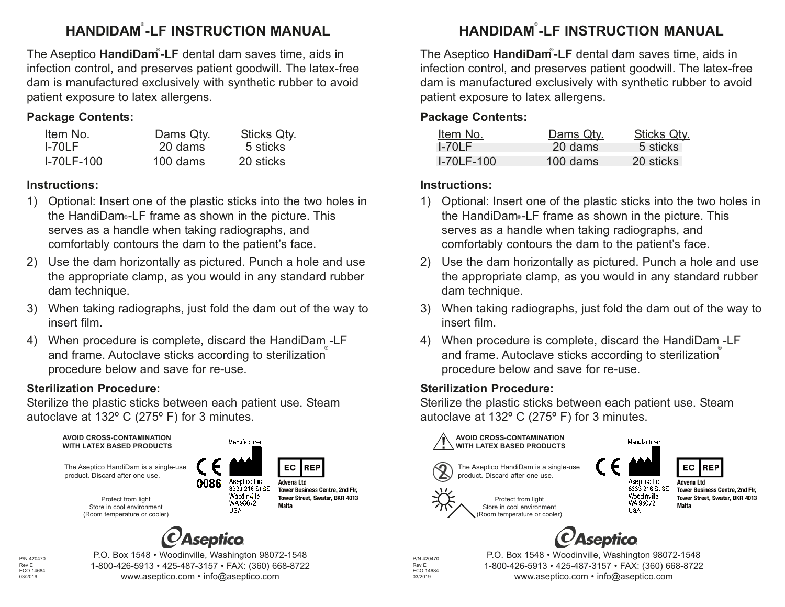### **HANDIDAM®-LF INSTRUCTION MANUAL**

The Aseptico HandiDam<sup>®</sup>-LF dental dam saves time, aids in infection control, and preserves patient goodwill. The latex-free dam is manufactured exclusively with synthetic rubber to avoid patient exposure to latex allergens.

#### **Package Contents:**

| Item No.          | Dams Qty.  | <b>Sticks Qty.</b> |
|-------------------|------------|--------------------|
| $I-70LF$          | 20 dams    | 5 sticks           |
| <b>I-70LF-100</b> | $100$ dams | 20 sticks          |

#### **Instructions:**

- 1) Optional: Insert one of the plastic sticks into the two holes in the HandiDam⊶LF frame as shown in the picture. This serves as a handle when taking radiographs, and comfortably contours the dam to the patient's face.
- 2) Use the dam horizontally as pictured. Punch a hole and use the appropriate clamp, as you would in any standard rubber dam technique.
- 3) When taking radiographs, just fold the dam out of the way to insert film.
- 4) When procedure is complete, discard the HandiDam -LF and frame. Autoclave sticks according to sterilization procedure below and save for re-use.

#### **Sterilization Procedure:**

Sterilize the plastic sticks between each patient use. Steam autoclave at 132º C (275º F) for 3 minutes.



**AVOID CROSS-CONTAMINATION WITH LATEX BASED PRODUCTS**



The Aseptico HandiDam is a single-use product. Discard after one use.



Aseptico Inc 8333 216 St SE Woodinville WA 98072 **HSA** 



ht I snevhA **Tower Business Centre, 2nd Flr.** Tower Street, Swatar, BKR 4013 **Malta** 



Protect from light Store in cool environment (Room temperature or cooler)



P/N 420470 Rev E ECO 14684 03/2019

P.O. Box 1548 • Woodinville, Washington 98072-1548 1-800-426-5913 • 425-487-3157 • FAX: (360) 668-8722 www.aseptico.com • info@aseptico.com